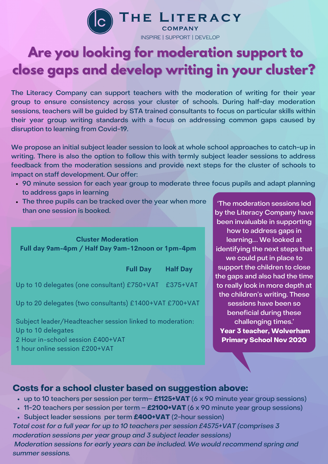

**INSPIRE I SUPPORT I DEVELOP** 

# **Are you looking for moderation support to close gaps and develop writing in your cluster?**

The Literacy Company can support teachers with the moderation of writing for their year group to ensure consistency across your cluster of schools. During half-day moderation sessions, teachers will be guided by STA trained consultants to focus on particular skills within their year group writing standards with a focus on addressing common gaps caused by disruption to learning from Covid-19.

We propose an initial subject leader session to look at whole school approaches to catch-up in writing. There is also the option to follow this with termly subject leader sessions to address feedback from the moderation sessions and provide next steps for the cluster of schools to impact on staff development. Our offer:

- 90 minute session for each year group to moderate three focus pupils and adapt planning to address gaps in learning
- The three pupils can be tracked over the year when more than one session is booked.

### **Cluster Moderation Full day 9am-4pm / Half Day 9am-12noon or 1pm-4pm**

|                                                                                | <b>Full Day</b> | <b>Half Day</b> |
|--------------------------------------------------------------------------------|-----------------|-----------------|
| Up to 10 delegates (one consultant) £750+VAT £375+VAT                          |                 |                 |
| Up to 20 delegates (two consultants) £1400+VAT £700+VAT                        |                 |                 |
| Subject leader/Headteacher session linked to moderation:<br>Up to 10 delegates |                 |                 |

identifying the next steps that we could put in place to support the children to close the gaps and also had the time to really look in more depth at the children's writing. These sessions have been so beneficial during these challenging times.' **Year 3 teacher, Wolverham Primary School Nov 2020**

'The moderation sessions led by the Literacy Company have been invaluable in supporting how to address gaps in learning…. We looked at

# 2 Hour in-school session £400+VAT

1 hour online session £200+VAT

### **Costs for a school cluster based on suggestion above:**

- up to 10 teachers per session per term– **£1125+VAT** (6 x 90 minute year group sessions)
- 11-20 teachers per session per term **£2100+VAT** (6 x 90 minute year group sessions)
- Subject leader sessions per term **£400+VAT** (2-hour session)

Total cost for a full year for up to 10 teachers per session £4575+VAT (comprises 3 moderation sessions per year group and 3 subject leader sessions) Moderation sessions for early years can be included. We would recommend spring and summer sessions.